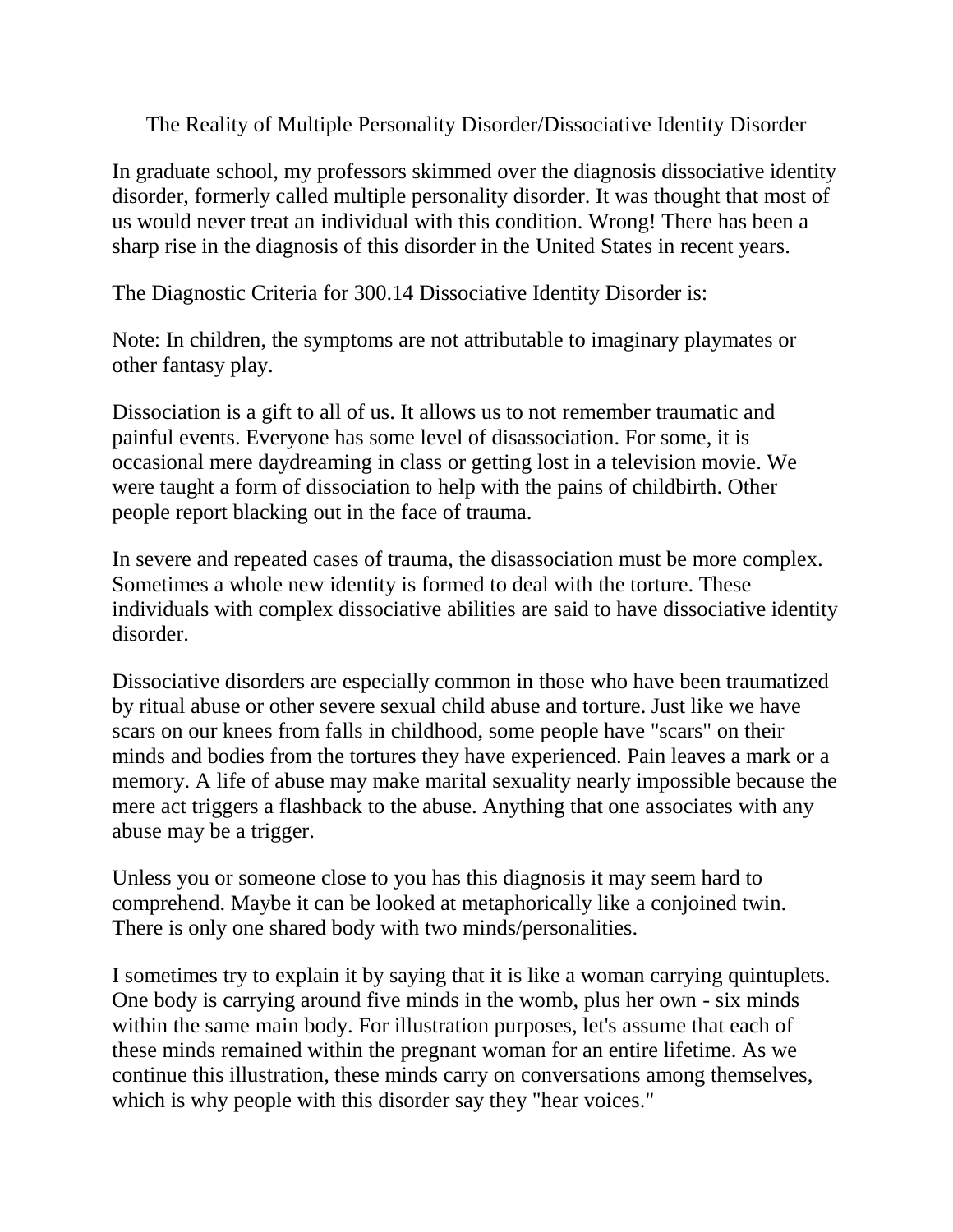The Reality of Multiple Personality Disorder/Dissociative Identity Disorder

In graduate school, my professors skimmed over the diagnosis dissociative identity disorder, formerly called multiple personality disorder. It was thought that most of us would never treat an individual with this condition. Wrong! There has been a sharp rise in the diagnosis of this disorder in the United States in recent years.

The Diagnostic Criteria for 300.14 Dissociative Identity Disorder is:

Note: In children, the symptoms are not attributable to imaginary playmates or other fantasy play.

Dissociation is a gift to all of us. It allows us to not remember traumatic and painful events. Everyone has some level of disassociation. For some, it is occasional mere daydreaming in class or getting lost in a television movie. We were taught a form of dissociation to help with the pains of childbirth. Other people report blacking out in the face of trauma.

In severe and repeated cases of trauma, the disassociation must be more complex. Sometimes a whole new identity is formed to deal with the torture. These individuals with complex dissociative abilities are said to have dissociative identity disorder.

Dissociative disorders are especially common in those who have been traumatized by ritual abuse or other severe sexual child abuse and torture. Just like we have scars on our knees from falls in childhood, some people have "scars" on their minds and bodies from the tortures they have experienced. Pain leaves a mark or a memory. A life of abuse may make marital sexuality nearly impossible because the mere act triggers a flashback to the abuse. Anything that one associates with any abuse may be a trigger.

Unless you or someone close to you has this diagnosis it may seem hard to comprehend. Maybe it can be looked at metaphorically like a conjoined twin. There is only one shared body with two minds/personalities.

I sometimes try to explain it by saying that it is like a woman carrying quintuplets. One body is carrying around five minds in the womb, plus her own - six minds within the same main body. For illustration purposes, let's assume that each of these minds remained within the pregnant woman for an entire lifetime. As we continue this illustration, these minds carry on conversations among themselves, which is why people with this disorder say they "hear voices."